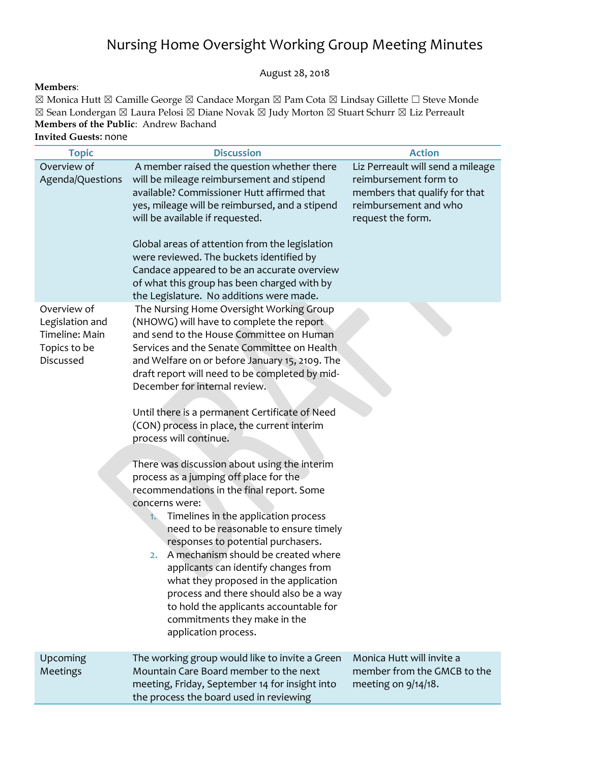## Nursing Home Oversight Working Group Meeting Minutes

August 28, 2018

## **Members**:

☒ Monica Hutt ☒ Camille George ☒ Candace Morgan ☒ Pam Cota ☒ Lindsay Gillette ☐ Steve Monde ☒ Sean Londergan ☒ Laura Pelosi ☒ Diane Novak ☒ Judy Morton ☒ Stuart Schurr ☒ Liz Perreault **Members of the Public**: Andrew Bachand **Invited Guests**: none

| <b>Topic</b>                                                                  | <b>Discussion</b>                                                                                                                                                                                                                                                                                                                                                                                                                                                                                                                                                                                                                                                                                                                                                                                                                                                                                                                                                                                                                                            | <b>Action</b>                                                                                                                             |
|-------------------------------------------------------------------------------|--------------------------------------------------------------------------------------------------------------------------------------------------------------------------------------------------------------------------------------------------------------------------------------------------------------------------------------------------------------------------------------------------------------------------------------------------------------------------------------------------------------------------------------------------------------------------------------------------------------------------------------------------------------------------------------------------------------------------------------------------------------------------------------------------------------------------------------------------------------------------------------------------------------------------------------------------------------------------------------------------------------------------------------------------------------|-------------------------------------------------------------------------------------------------------------------------------------------|
| Overview of<br>Agenda/Questions                                               | A member raised the question whether there<br>will be mileage reimbursement and stipend<br>available? Commissioner Hutt affirmed that<br>yes, mileage will be reimbursed, and a stipend<br>will be available if requested.<br>Global areas of attention from the legislation<br>were reviewed. The buckets identified by<br>Candace appeared to be an accurate overview<br>of what this group has been charged with by                                                                                                                                                                                                                                                                                                                                                                                                                                                                                                                                                                                                                                       | Liz Perreault will send a mileage<br>reimbursement form to<br>members that qualify for that<br>reimbursement and who<br>request the form. |
| Overview of<br>Legislation and<br>Timeline: Main<br>Topics to be<br>Discussed | the Legislature. No additions were made.<br>The Nursing Home Oversight Working Group<br>(NHOWG) will have to complete the report<br>and send to the House Committee on Human<br>Services and the Senate Committee on Health<br>and Welfare on or before January 15, 2109. The<br>draft report will need to be completed by mid-<br>December for internal review.<br>Until there is a permanent Certificate of Need<br>(CON) process in place, the current interim<br>process will continue.<br>There was discussion about using the interim<br>process as a jumping off place for the<br>recommendations in the final report. Some<br>concerns were:<br>Timelines in the application process<br>1.<br>need to be reasonable to ensure timely<br>responses to potential purchasers.<br>A mechanism should be created where<br>2.<br>applicants can identify changes from<br>what they proposed in the application<br>process and there should also be a way<br>to hold the applicants accountable for<br>commitments they make in the<br>application process. |                                                                                                                                           |
| Upcoming<br>Meetings                                                          | The working group would like to invite a Green<br>Mountain Care Board member to the next<br>meeting, Friday, September 14 for insight into<br>the process the board used in reviewing                                                                                                                                                                                                                                                                                                                                                                                                                                                                                                                                                                                                                                                                                                                                                                                                                                                                        | Monica Hutt will invite a<br>member from the GMCB to the<br>meeting on 9/14/18.                                                           |